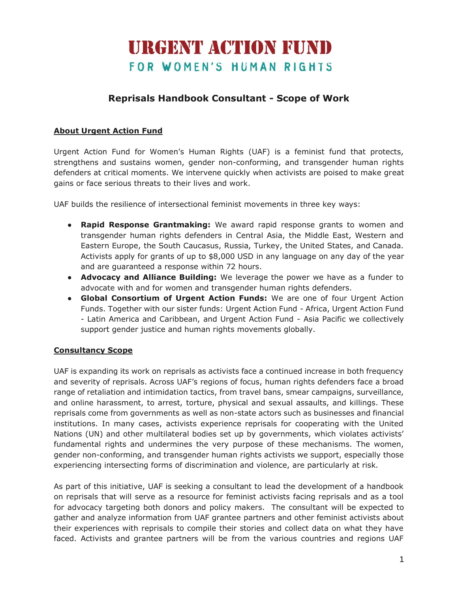# **URGENT ACTION FUND** FOR WOMEN'S HUMAN RIGHTS

## **Reprisals Handbook Consultant - Scope of Work**

#### **About Urgent Action Fund**

Urgent Action Fund for Women's Human Rights (UAF) is a feminist fund that protects, strengthens and sustains women, gender non-conforming, and transgender human rights defenders at critical moments. We intervene quickly when activists are poised to make great gains or face serious threats to their lives and work.

UAF builds the resilience of intersectional feminist movements in three key ways:

- **Rapid Response Grantmaking:** We award rapid response grants to women and transgender human rights defenders in Central Asia, the Middle East, Western and Eastern Europe, the South Caucasus, Russia, Turkey, the United States, and Canada. Activists apply for grants of up to \$8,000 USD in any language on any day of the year and are guaranteed a response within 72 hours.
- **Advocacy and Alliance Building:** We leverage the power we have as a funder to advocate with and for women and transgender human rights defenders.
- **Global Consortium of Urgent Action Funds:** We are one of four Urgent Action Funds. Together with our sister funds: Urgent Action Fund - Africa, Urgent Action Fund - Latin America and Caribbean, and Urgent Action Fund - Asia Pacific we collectively support gender justice and human rights movements globally.

#### **Consultancy Scope**

UAF is expanding its work on reprisals as activists face a continued increase in both frequency and severity of reprisals. Across UAF's regions of focus, human rights defenders face a broad range of retaliation and intimidation tactics, from travel bans, smear campaigns, surveillance, and online harassment, to arrest, torture, physical and sexual assaults, and killings. These reprisals come from governments as well as non-state actors such as businesses and financial institutions. In many cases, activists experience reprisals for cooperating with the United Nations (UN) and other multilateral bodies set up by governments, which violates activists' fundamental rights and undermines the very purpose of these mechanisms. The women, gender non-conforming, and transgender human rights activists we support, especially those experiencing intersecting forms of discrimination and violence, are particularly at risk.

As part of this initiative, UAF is seeking a consultant to lead the development of a handbook on reprisals that will serve as a resource for feminist activists facing reprisals and as a tool for advocacy targeting both donors and policy makers. The consultant will be expected to gather and analyze information from UAF grantee partners and other feminist activists about their experiences with reprisals to compile their stories and collect data on what they have faced. Activists and grantee partners will be from the various countries and regions UAF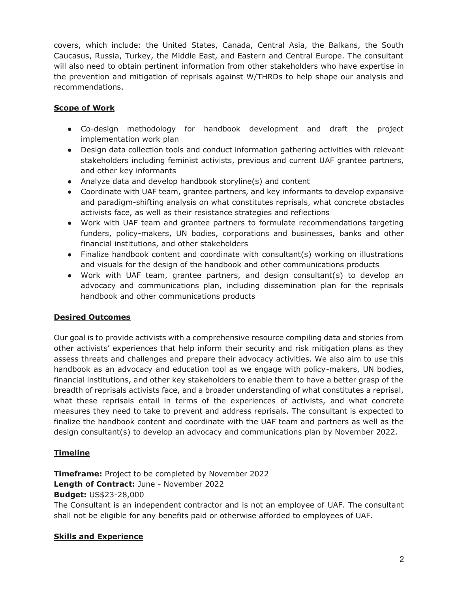covers, which include: the United States, Canada, Central Asia, the Balkans, the South Caucasus, Russia, Turkey, the Middle East, and Eastern and Central Europe. The consultant will also need to obtain pertinent information from other stakeholders who have expertise in the prevention and mitigation of reprisals against W/THRDs to help shape our analysis and recommendations.

#### **Scope of Work**

- Co-design methodology for handbook development and draft the project implementation work plan
- Design data collection tools and conduct information gathering activities with relevant stakeholders including feminist activists, previous and current UAF grantee partners, and other key informants
- Analyze data and develop handbook storyline(s) and content
- Coordinate with UAF team, grantee partners, and key informants to develop expansive and paradigm-shifting analysis on what constitutes reprisals, what concrete obstacles activists face, as well as their resistance strategies and reflections
- Work with UAF team and grantee partners to formulate recommendations targeting funders, policy-makers, UN bodies, corporations and businesses, banks and other financial institutions, and other stakeholders
- Finalize handbook content and coordinate with consultant(s) working on illustrations and visuals for the design of the handbook and other communications products
- Work with UAF team, grantee partners, and design consultant(s) to develop an advocacy and communications plan, including dissemination plan for the reprisals handbook and other communications products

#### **Desired Outcomes**

Our goal is to provide activists with a comprehensive resource compiling data and stories from other activists' experiences that help inform their security and risk mitigation plans as they assess threats and challenges and prepare their advocacy activities. We also aim to use this handbook as an advocacy and education tool as we engage with policy-makers, UN bodies, financial institutions, and other key stakeholders to enable them to have a better grasp of the breadth of reprisals activists face, and a broader understanding of what constitutes a reprisal, what these reprisals entail in terms of the experiences of activists, and what concrete measures they need to take to prevent and address reprisals. The consultant is expected to finalize the handbook content and coordinate with the UAF team and partners as well as the design consultant(s) to develop an advocacy and communications plan by November 2022.

#### **Timeline**

**Timeframe:** Project to be completed by November 2022 **Length of Contract:** June - November 2022 **Budget:** US\$23-28,000

The Consultant is an independent contractor and is not an employee of UAF. The consultant shall not be eligible for any benefits paid or otherwise afforded to employees of UAF.

#### **Skills and Experience**